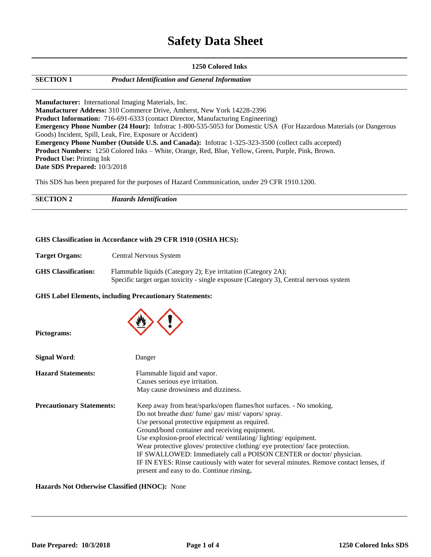# **Safety Data Sheet**

### **1250 Colored Inks SECTION 1** *Product Identification and General Information* **Manufacturer:** International Imaging Materials, Inc. **Manufacturer Address:** 310 Commerce Drive, Amherst, New York 14228-2396 **Product Information:** 716-691-6333 (contact Director, Manufacturing Engineering) **Emergency Phone Number (24 Hour):** Infotrac 1-800-535-5053 for Domestic USA (For Hazardous Materials (or Dangerous Goods) Incident, Spill, Leak, Fire, Exposure or Accident) **Emergency Phone Number (Outside U.S. and Canada):** Infotrac 1-325-323-3500 (collect calls accepted) **Product Numbers:** 1250 Colored Inks – White, Orange, Red, Blue, Yellow, Green, Purple, Pink, Brown. **Product Use:** Printing Ink **Date SDS Prepared:** 10/3/2018

This SDS has been prepared for the purposes of Hazard Communication, under 29 CFR 1910.1200.

**SECTION 2** *Hazards Identification*

#### **GHS Classification in Accordance with 29 CFR 1910 (OSHA HCS):**

| <b>Target Organs:</b> | Central Nervous System |
|-----------------------|------------------------|
|-----------------------|------------------------|

| <b>GHS Classification:</b> | Flammable liquids (Category 2); Eye irritation (Category 2A);                         |
|----------------------------|---------------------------------------------------------------------------------------|
|                            | Specific target organ toxicity - single exposure (Category 3), Central nervous system |

#### **GHS Label Elements, including Precautionary Statements:**

| Pictograms:                      |                                                                                                                                                                                                                                                                                                                                                                                                                                                                                                                                                                                                 |
|----------------------------------|-------------------------------------------------------------------------------------------------------------------------------------------------------------------------------------------------------------------------------------------------------------------------------------------------------------------------------------------------------------------------------------------------------------------------------------------------------------------------------------------------------------------------------------------------------------------------------------------------|
| <b>Signal Word:</b>              | Danger                                                                                                                                                                                                                                                                                                                                                                                                                                                                                                                                                                                          |
| <b>Hazard Statements:</b>        | Flammable liquid and vapor.<br>Causes serious eye irritation.<br>May cause drowsiness and dizziness.                                                                                                                                                                                                                                                                                                                                                                                                                                                                                            |
| <b>Precautionary Statements:</b> | Keep away from heat/sparks/open flames/hot surfaces. - No smoking.<br>Do not breathe dust/ fume/ gas/ mist/ vapors/ spray.<br>Use personal protective equipment as required.<br>Ground/bond container and receiving equipment.<br>Use explosion-proof electrical/ventilating/lighting/equipment.<br>Wear protective gloves/ protective clothing/ eye protection/ face protection.<br>IF SWALLOWED: Immediately call a POISON CENTER or doctor/physician.<br>IF IN EYES: Rinse cautiously with water for several minutes. Remove contact lenses, if<br>present and easy to do. Continue rinsing. |

**Hazards Not Otherwise Classified (HNOC):** None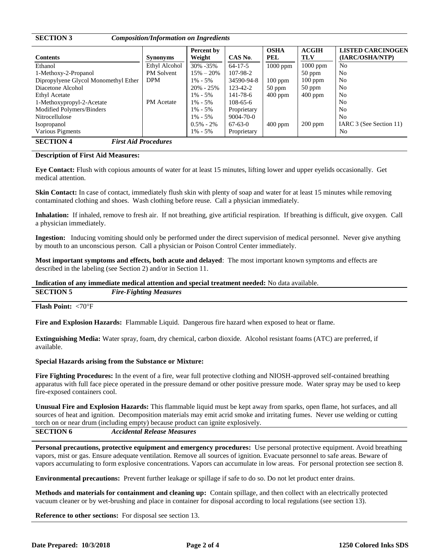| <b>SECTION 3</b>                                | <b>Composition/Information on Ingredients</b> | Percent by    |                 | <b>OSHA</b> | <b>ACGIH</b> | <b>LISTED CARCINOGEN</b> |
|-------------------------------------------------|-----------------------------------------------|---------------|-----------------|-------------|--------------|--------------------------|
| <b>Contents</b>                                 | <b>Synonyms</b>                               | Weight        | CAS No.         | PEL         | <b>TLV</b>   | (IARC/OSHA/NTP)          |
| Ethanol                                         | Ethyl Alcohol                                 | 30% -35%      | $64 - 17 - 5$   | $1000$ ppm  | 1000 ppm     | N <sub>0</sub>           |
| 1-Methoxy-2-Propanol                            | <b>PM</b> Solvent                             | $15\% - 20\%$ | 107-98-2        |             | $50$ ppm     | No                       |
| Dipropylyene Glycol Monomethyl Ether            | <b>DPM</b>                                    | $1\% - 5\%$   | 34590-94-8      | $100$ ppm   | $100$ ppm    | N <sub>0</sub>           |
| Diacetone Alcohol                               |                                               | $20\% - 25\%$ | 123-42-2        | $50$ ppm    | $50$ ppm     | N <sub>0</sub>           |
| <b>Ethyl Acetate</b>                            |                                               | $1\% - 5\%$   | 141-78-6        | $400$ ppm   | $400$ ppm    | N <sub>0</sub>           |
| 1-Methoxypropyl-2-Acetate                       | <b>PM</b> Acetate                             | $1\% - 5\%$   | $108-65-6$      |             |              | No                       |
| Modified Polymers/Binders                       |                                               | $1\% - 5\%$   | Proprietary     |             |              | No                       |
| Nitrocellulose                                  |                                               | $1\% - 5\%$   | $9004 - 70 - 0$ |             |              | N <sub>0</sub>           |
| Isopropanol                                     |                                               | $0.5\% - 2\%$ | $67-63-0$       | $400$ ppm   | $200$ ppm    | IARC 3 (See Section 11)  |
| Various Pigments                                |                                               | $1\% - 5\%$   | Proprietary     |             |              | No                       |
| <b>SECTION 4</b><br><b>First Aid Procedures</b> |                                               |               |                 |             |              |                          |

#### **Description of First Aid Measures:**

**Eye Contact:** Flush with copious amounts of water for at least 15 minutes, lifting lower and upper eyelids occasionally. Get medical attention.

**Skin Contact:** In case of contact, immediately flush skin with plenty of soap and water for at least 15 minutes while removing contaminated clothing and shoes. Wash clothing before reuse. Call a physician immediately.

**Inhalation:** If inhaled, remove to fresh air. If not breathing, give artificial respiration. If breathing is difficult, give oxygen. Call a physician immediately.

**Ingestion:** Inducing vomiting should only be performed under the direct supervision of medical personnel. Never give anything by mouth to an unconscious person. Call a physician or Poison Control Center immediately.

**Most important symptoms and effects, both acute and delayed**: The most important known symptoms and effects are described in the labeling (see Section 2) and/or in Section 11.

## **Indication of any immediate medical attention and special treatment needed:** No data available.

**SECTION 5** *Fire-Fighting Measures*

**Flash Point: <70°F** 

**Fire and Explosion Hazards:** Flammable Liquid. Dangerous fire hazard when exposed to heat or flame.

**Extinguishing Media:** Water spray, foam, dry chemical, carbon dioxide. Alcohol resistant foams (ATC) are preferred, if available.

#### **Special Hazards arising from the Substance or Mixture:**

**Fire Fighting Procedures:** In the event of a fire, wear full protective clothing and NIOSH-approved self-contained breathing apparatus with full face piece operated in the pressure demand or other positive pressure mode. Water spray may be used to keep fire-exposed containers cool.

**Unusual Fire and Explosion Hazards:** This flammable liquid must be kept away from sparks, open flame, hot surfaces, and all sources of heat and ignition. Decomposition materials may emit acrid smoke and irritating fumes. Never use welding or cutting torch on or near drum (including empty) because product can ignite explosively.

**SECTION 6** *Accidental Release Measures*

**Personal precautions, protective equipment and emergency procedures:** Use personal protective equipment. Avoid breathing vapors, mist or gas. Ensure adequate ventilation. Remove all sources of ignition. Evacuate personnel to safe areas. Beware of vapors accumulating to form explosive concentrations. Vapors can accumulate in low areas.For personal protection see section 8.

**Environmental precautions:** Prevent further leakage or spillage if safe to do so. Do not let product enter drains.

**Methods and materials for containment and cleaning up:** Contain spillage, and then collect with an electrically protected vacuum cleaner or by wet-brushing and place in container for disposal according to local regulations (see section 13).

**Reference to other sections:** For disposal see section 13.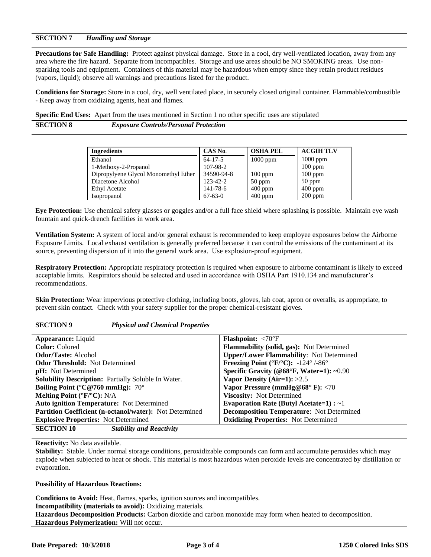#### **SECTION 7** *Handling and Storage*

**Precautions for Safe Handling:** Protect against physical damage. Store in a cool, dry well-ventilated location, away from any area where the fire hazard. Separate from incompatibles. Storage and use areas should be NO SMOKING areas. Use nonsparking tools and equipment. Containers of this material may be hazardous when empty since they retain product residues (vapors, liquid); observe all warnings and precautions listed for the product.

**Conditions for Storage:** Store in a cool, dry, well ventilated place, in securely closed original container. Flammable/combustible - Keep away from oxidizing agents, heat and flames.

**Specific End Uses:** Apart from the uses mentioned in Section 1 no other specific uses are stipulated

**SECTION 8** *Exposure Controls/Personal Protection*

| <b>Ingredients</b>                   | CAS No.        | <b>OSHA PEL</b> | <b>ACGIH TLV</b> |
|--------------------------------------|----------------|-----------------|------------------|
| Ethanol                              | $64 - 17 - 5$  | $1000$ ppm      | $1000$ ppm       |
| 1-Methoxy-2-Propanol                 | 107-98-2       |                 | $100$ ppm        |
| Dipropylyene Glycol Monomethyl Ether | 34590-94-8     | $100$ ppm       | $100$ ppm        |
| Diacetone Alcohol                    | $123 - 42 - 2$ | $50$ ppm        | $50$ ppm         |
| <b>Ethyl Acetate</b>                 | 141-78-6       | $400$ ppm       | $400$ ppm        |
| Isopropanol                          | $67 - 63 - 0$  | $400$ ppm       | $200$ ppm        |

**Eye Protection:** Use chemical safety glasses or goggles and/or a full face shield where splashing is possible. Maintain eye wash fountain and quick-drench facilities in work area.

**Ventilation System:** A system of local and/or general exhaust is recommended to keep employee exposures below the Airborne Exposure Limits. Local exhaust ventilation is generally preferred because it can control the emissions of the contaminant at its source, preventing dispersion of it into the general work area. Use explosion-proof equipment.

**Respiratory Protection:** Appropriate respiratory protection is required when exposure to airborne contaminant is likely to exceed acceptable limits. Respirators should be selected and used in accordance with OSHA Part 1910.134 and manufacturer's recommendations.

**Skin Protection:** Wear impervious protective clothing, including boots, gloves, lab coat, apron or overalls, as appropriate, to prevent skin contact. Check with your safety supplier for the proper chemical-resistant gloves.

| <b>SECTION 9</b><br><b>Physical and Chemical Properties</b>    |                                                                                                              |
|----------------------------------------------------------------|--------------------------------------------------------------------------------------------------------------|
| <b>Appearance:</b> Liquid                                      | <b>Flashpoint:</b> $\langle 70^\circ F$                                                                      |
| <b>Color:</b> Colored                                          | <b>Flammability (solid, gas):</b> Not Determined                                                             |
| <b>Odor/Taste:</b> Alcohol                                     | <b>Upper/Lower Flammability:</b> Not Determined                                                              |
| <b>Odor Threshold:</b> Not Determined                          | <b>Freezing Point</b> ( ${}^{\circ}$ <b>F</b> / ${}^{\circ}$ <b>C</b> ): -124 ${}^{\circ}$ /-86 ${}^{\circ}$ |
| <b>pH</b> : Not Determined                                     | Specific Gravity (@68°F, Water=1): ~0.90                                                                     |
| Solubility Description: Partially Soluble In Water.            | Vapor Density (Air=1): $>2.5$                                                                                |
| Boiling Point ( $^{\circ}$ C@760 mmHg): 70 $^{\circ}$          | Vapor Pressure (mmHg@68 $\degree$ F): <70                                                                    |
| Melting Point ( ${}^{\circ}F/{}^{\circ}C$ ): N/A               | <b>Viscosity:</b> Not Determined                                                                             |
| <b>Auto ignition Temperature:</b> Not Determined               | Evaporation Rate (Butyl Acetate=1) : $\sim$ 1                                                                |
| <b>Partition Coefficient (n-octanol/water):</b> Not Determined | <b>Decomposition Temperature:</b> Not Determined                                                             |
| <b>Explosive Properties:</b> Not Determined                    | <b>Oxidizing Properties:</b> Not Determined                                                                  |
| <b>SECTION 10</b><br><b>Stability and Reactivity</b>           |                                                                                                              |

#### **Reactivity:** No data available.

**Stability:** Stable. Under normal storage conditions, peroxidizable compounds can form and accumulate peroxides which may explode when subjected to heat or shock. This material is most hazardous when peroxide levels are concentrated by distillation or evaporation.

#### **Possibility of Hazardous Reactions:**

**Conditions to Avoid:** Heat, flames, sparks, ignition sources and incompatibles. **Incompatibility (materials to avoid):** Oxidizing materials. **Hazardous Decomposition Products:** Carbon dioxide and carbon monoxide may form when heated to decomposition. **Hazardous Polymerization:** Will not occur.